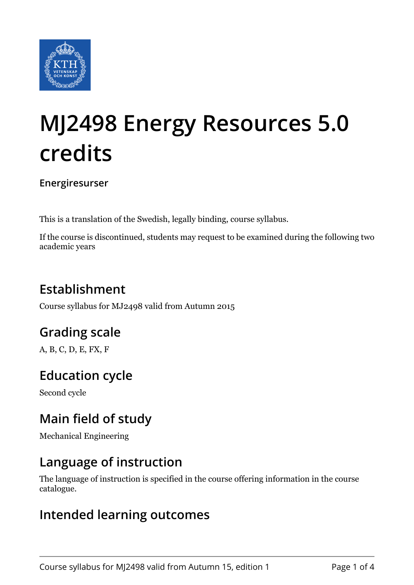

# **MJ2498 Energy Resources 5.0 credits**

**Energiresurser**

This is a translation of the Swedish, legally binding, course syllabus.

If the course is discontinued, students may request to be examined during the following two academic years

## **Establishment**

Course syllabus for MJ2498 valid from Autumn 2015

## **Grading scale**

A, B, C, D, E, FX, F

## **Education cycle**

Second cycle

## **Main field of study**

Mechanical Engineering

### **Language of instruction**

The language of instruction is specified in the course offering information in the course catalogue.

#### **Intended learning outcomes**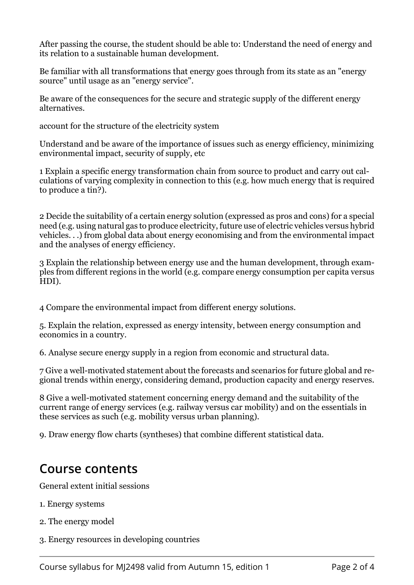After passing the course, the student should be able to: Understand the need of energy and its relation to a sustainable human development.

Be familiar with all transformations that energy goes through from its state as an "energy source" until usage as an "energy service".

Be aware of the consequences for the secure and strategic supply of the different energy alternatives.

account for the structure of the electricity system

Understand and be aware of the importance of issues such as energy efficiency, minimizing environmental impact, security of supply, etc

1 Explain a specific energy transformation chain from source to product and carry out calculations of varying complexity in connection to this (e.g. how much energy that is required to produce a tin?).

2 Decide the suitability of a certain energy solution (expressed as pros and cons) for a special need (e.g. using natural gas to produce electricity, future use of electric vehicles versus hybrid vehicles. . .) from global data about energy economising and from the environmental impact and the analyses of energy efficiency.

3 Explain the relationship between energy use and the human development, through examples from different regions in the world (e.g. compare energy consumption per capita versus HDI).

4 Compare the environmental impact from different energy solutions.

5. Explain the relation, expressed as energy intensity, between energy consumption and economics in a country.

6. Analyse secure energy supply in a region from economic and structural data.

7 Give a well-motivated statement about the forecasts and scenarios for future global and regional trends within energy, considering demand, production capacity and energy reserves.

8 Give a well-motivated statement concerning energy demand and the suitability of the current range of energy services (e.g. railway versus car mobility) and on the essentials in these services as such (e.g. mobility versus urban planning).

9. Draw energy flow charts (syntheses) that combine different statistical data.

#### **Course contents**

General extent initial sessions

- 1. Energy systems
- 2. The energy model
- 3. Energy resources in developing countries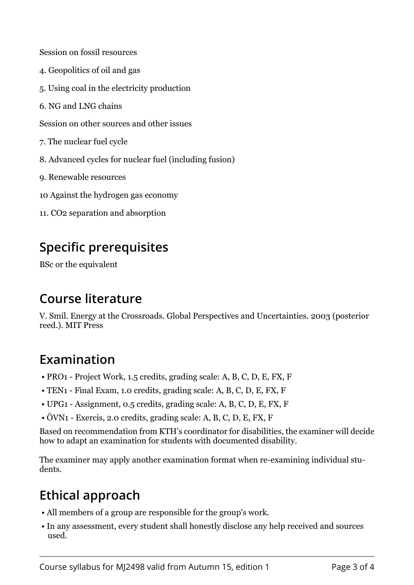Session on fossil resources

- 4. Geopolitics of oil and gas
- 5. Using coal in the electricity production
- 6. NG and LNG chains
- Session on other sources and other issues
- 7. The nuclear fuel cycle
- 8. Advanced cycles for nuclear fuel (including fusion)
- 9. Renewable resources
- 10 Against the hydrogen gas economy
- 11. CO2 separation and absorption

## **Specific prerequisites**

BSc or the equivalent

## **Course literature**

V. Smil. Energy at the Crossroads. Global Perspectives and Uncertainties. 2003 (posterior reed.). MIT Press

### **Examination**

- PRO1 Project Work, 1.5 credits, grading scale: A, B, C, D, E, FX, F
- TEN1 Final Exam, 1.0 credits, grading scale: A, B, C, D, E, FX, F
- UPG1 Assignment, 0.5 credits, grading scale: A, B, C, D, E, FX, F
- ÖVN1 Exercis, 2.0 credits, grading scale: A, B, C, D, E, FX, F

Based on recommendation from KTH's coordinator for disabilities, the examiner will decide how to adapt an examination for students with documented disability.

The examiner may apply another examination format when re-examining individual students.

# **Ethical approach**

- All members of a group are responsible for the group's work.
- In any assessment, every student shall honestly disclose any help received and sources used.